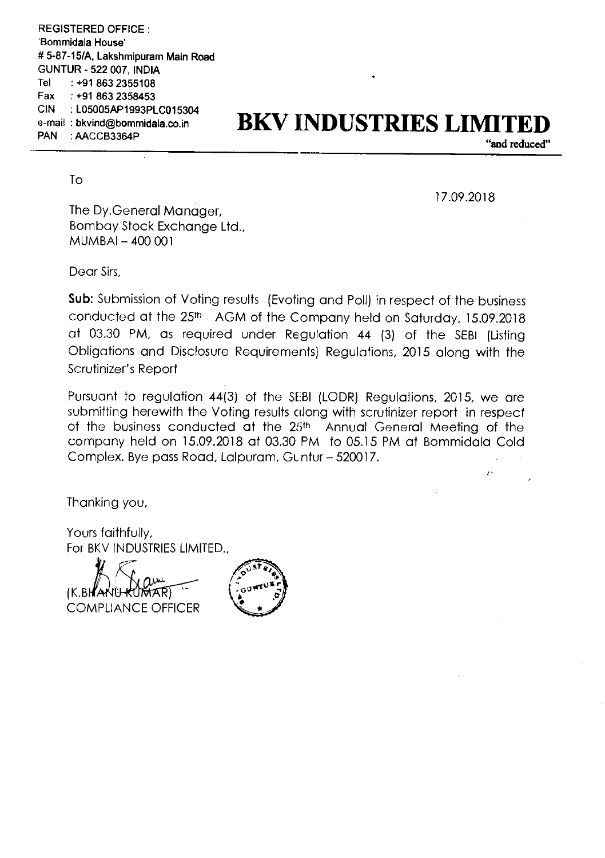REGISTERED OFFICE : Bommidala House' # 5-87—15/A, Lakshmipuram Main Road GUNTUR - 522 007, INDIA Tel : +91 863 2355108 Fax : +91 863 2358453 CIN :L05005AP1993PLC015304 e-mail :bkvind@bommidala.co.in PAN : AACCB3364P

## BKV INDUSTRIES LIMITI

"and reduced"

To

17.09.2018

 $\mathbf{r}$ 

The Dy.Genera| Manager, Bombay Stock Exchange Ltd., MUMBAI — 400 001

Dear Sirs,

**Sub:** Submission of Voting results (Evoting and Poll) in respect of the business conducted at the 25<sup>th</sup> AGM of the Company held on Saturday, 15.09.2018 at 03.30 PM, as required under Regulation <sup>44</sup> (3) of the SEBI (Listing Obligations and Disclosure Requirements) Regulations, 2015 along with the Scrutinizer's Report

Pursuant to regulation 44(3) of the SEBI (LODR) Regulations, 2015, we are submitting herewith the Voting results along with scrutinizer report in respect of the business conducted at the 25th Annual General Meeting of the company held on 15.09.2018 at 03.30 PM to 05.15 PM at Bommidala Cold Complex, Bye pass Road, Lalpuram, GLntur—520017.

Thanking you,

Yours faithfully, For BKV INDUSTRIES LIMITED.,

(K.BH*A* COMPLIANCE OFFICER

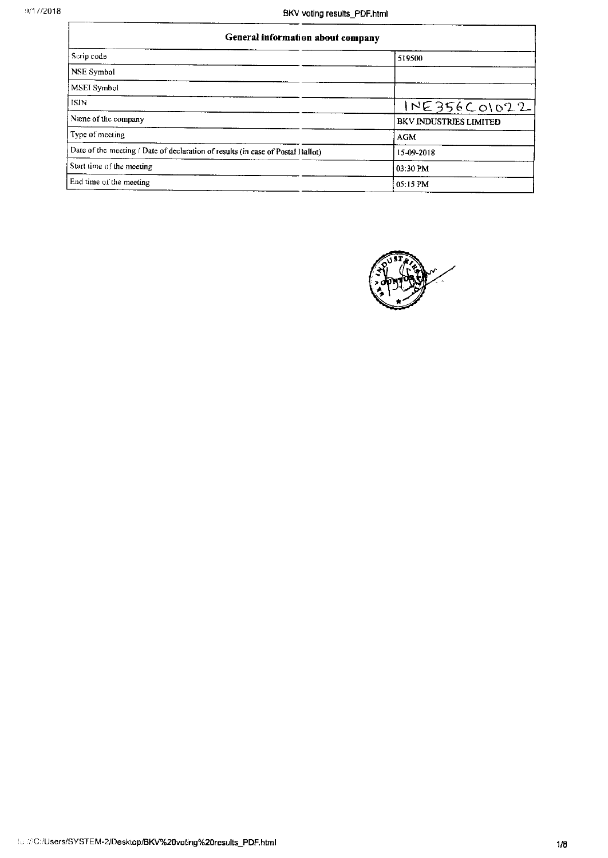| General information about company                                               |                        |  |  |
|---------------------------------------------------------------------------------|------------------------|--|--|
| Scrip code                                                                      | 519500                 |  |  |
| <b>NSE Symbol</b>                                                               |                        |  |  |
| MSEI Symbol                                                                     |                        |  |  |
| l ISIN                                                                          | IVE356C01022           |  |  |
| Name of the company                                                             | BKV INDUSTRIES LIMITED |  |  |
| Type of meeting                                                                 | <b>AGM</b>             |  |  |
| Date of the meeting / Date of declaration of results (in case of Postal Ballot) | 15-09-2018             |  |  |
| Start time of the meeting                                                       | 03:30 PM               |  |  |
| End time of the meeting                                                         | 05:15 PM               |  |  |

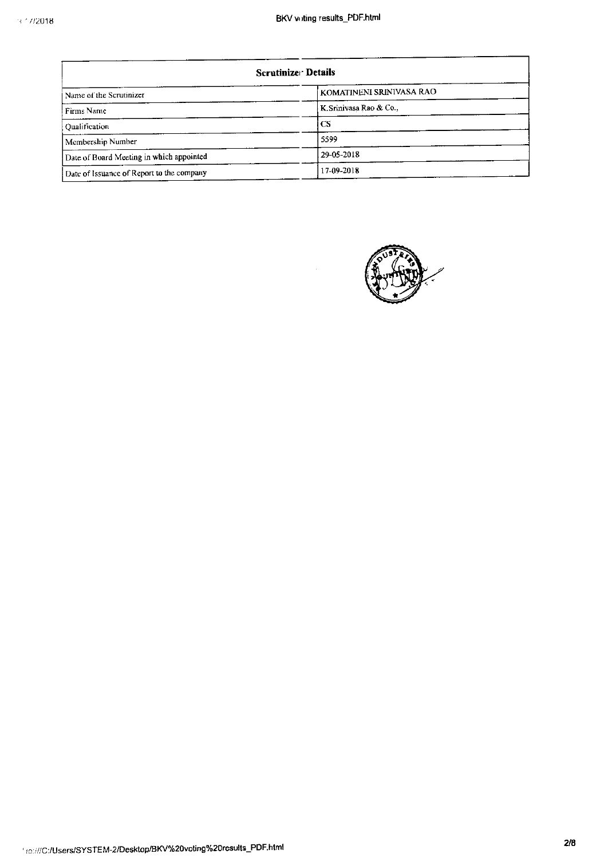| Scrutinizer Details                       |                          |  |  |
|-------------------------------------------|--------------------------|--|--|
| Name of the Scrutinizer                   | KOMATINENI SRINIVASA RAO |  |  |
| Firms Name                                | K Srinivasa Rao & Co.,   |  |  |
| <b>Oualification</b>                      | <b>CS</b>                |  |  |
| Membership Number                         | 5599                     |  |  |
| Date of Board Meeting in which appointed  | 29-05-2018               |  |  |
| Date of Issuance of Report to the company | 17-09-2018               |  |  |

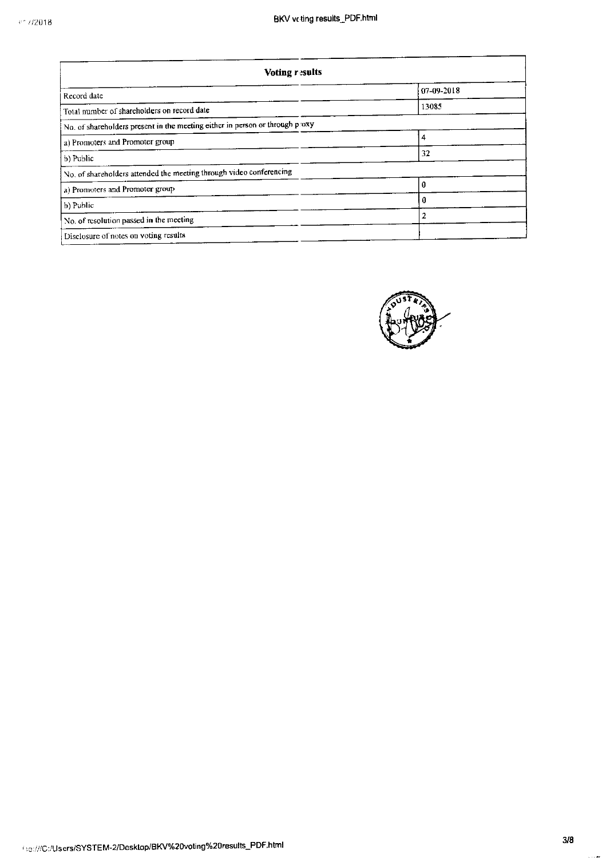| <b>Voting results</b>                                                        |                |  |  |  |
|------------------------------------------------------------------------------|----------------|--|--|--|
| Record date                                                                  | 07-09-2018     |  |  |  |
| Total number of shareholders on record date                                  | 13085          |  |  |  |
| No. of shareholders present in the meeting either in person or through proxy |                |  |  |  |
| a) Promoters and Promoter group                                              | $\overline{4}$ |  |  |  |
| b) Public                                                                    | 32             |  |  |  |
| No. of shareholders attended the meeting through video conferencing          |                |  |  |  |
| a) Promoters and Promoter group                                              | 0              |  |  |  |
| b) Public                                                                    | 0              |  |  |  |
| No. of resolution passed in the meeting                                      | $\overline{2}$ |  |  |  |
| Disclosure of notes on voting results                                        |                |  |  |  |

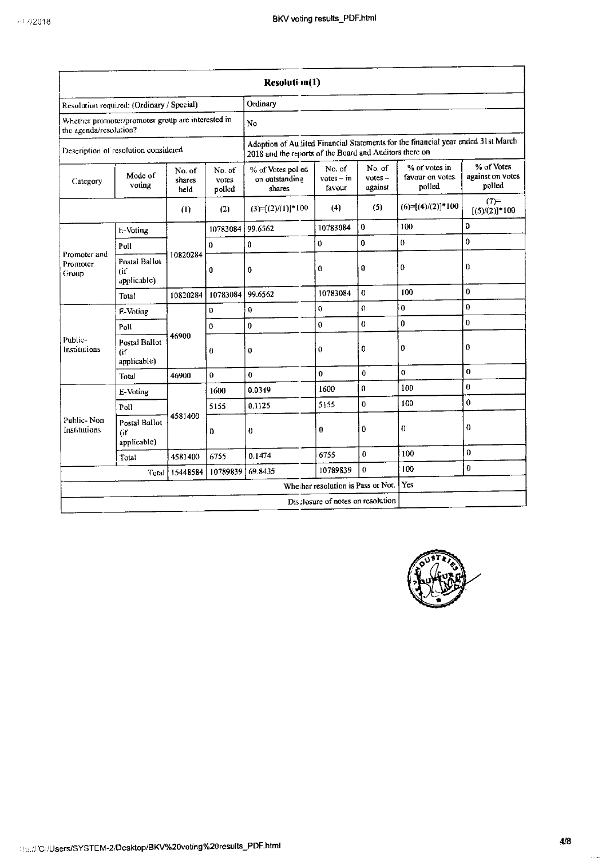|                                   |                                                   |                          |                           | Resolution(1)                                                                                                                               |                                     |                                |                                            |                                          |
|-----------------------------------|---------------------------------------------------|--------------------------|---------------------------|---------------------------------------------------------------------------------------------------------------------------------------------|-------------------------------------|--------------------------------|--------------------------------------------|------------------------------------------|
|                                   | Resolution required: (Ordinary / Special)         |                          |                           | Ordinary                                                                                                                                    |                                     |                                |                                            |                                          |
| the agenda/resolution?            | Whether promoter/promoter group are interested in |                          |                           | No                                                                                                                                          |                                     |                                |                                            |                                          |
|                                   | Description of resolution considered              |                          |                           | Adoption of Audited Financial Statements for the financial year ended 31st March<br>2018 and the reports of the Board and Auditors there on |                                     |                                |                                            |                                          |
| Category                          | Mode of<br>voting                                 | No. of<br>shares<br>held | No. of<br>votes<br>polled | % of Votes polied<br>on outstanding<br>shares                                                                                               | No. of<br>$v$ otes $-$ in<br>favour | No. of<br>$votes -$<br>against | % of votes in<br>favour on votes<br>polled | % of Votes<br>against on votes<br>polled |
|                                   |                                                   | (1)                      | (2)                       | $(3)=[(2)/(1)]*100$                                                                                                                         | (4)                                 | (5)                            | $(6)=[(4)/(2)]*100$                        | $(7)$ =<br>$[(5)/(2)]$ * 100             |
|                                   | E-Voting                                          |                          | 10783084                  | 99.6562                                                                                                                                     | 10783084                            | $\bf{0}$                       | 100                                        | $\mathbf 0$                              |
|                                   | Poll                                              |                          | $\mathbf 0$               | $\bf{0}$                                                                                                                                    | $\bf{0}$                            | $\bf{0}$                       | 0                                          | $\bf{0}$                                 |
| Promoter and<br>Promoter<br>Group | Postal Ballot<br>$($ if<br>applicable)            | 10820284                 | 0                         | $\boldsymbol{0}$                                                                                                                            | $\bf{0}$                            | 0                              | 0                                          | $\bf{0}$                                 |
|                                   | Total                                             | 10820284                 | 10783084                  | 99.6562                                                                                                                                     | 10783084                            | $\Omega$                       | 100                                        | $\mathbf 0$                              |
|                                   | F-Voting                                          |                          | $\Omega$                  | $\Omega$                                                                                                                                    | 0                                   | $\Omega$                       | 0                                          | $\boldsymbol{0}$                         |
|                                   | Poll                                              | 46900                    | 0                         | $\pmb{0}$                                                                                                                                   | 0                                   | $\theta$                       | 0                                          | $\bf{0}$                                 |
| Public-<br>Institutions           | <b>Postal Ballot</b><br>(if<br>applicable)        |                          | 0                         | 0                                                                                                                                           | 0                                   | O                              | 0                                          | 0                                        |
|                                   | Total                                             | 46900                    | 0                         | $\Omega$                                                                                                                                    | $\mathbf{0}$                        | $\bf{0}$                       | $\mathbf 0$                                | $\mathbf{0}$                             |
|                                   | E-Voting                                          |                          | 1600                      | 0.0349                                                                                                                                      | 1600                                | $\Omega$                       | 100                                        | $\Omega$                                 |
|                                   | Poll                                              |                          | 5155                      | 0.1125                                                                                                                                      | 5155                                | $\theta$                       | 100                                        | $\bf{0}$                                 |
| Public-Non<br>Institutions        | <b>Postal Ballot</b><br>(if<br>applicable)        | 4581400                  | 0                         | $\bf{0}$                                                                                                                                    | 0                                   | 0                              | 0                                          | $\bf{0}$                                 |
|                                   | Total                                             | 4581400                  | 6755                      | 0.1474                                                                                                                                      | 6755                                | O                              | 100                                        | 0                                        |
| 10789839<br>15448584<br>Total     |                                                   |                          | 69.8435                   | 10789839                                                                                                                                    | O                                   | 100                            | 0                                          |                                          |
|                                   | Yes<br>Whether resolution is Pass or Not.         |                          |                           |                                                                                                                                             |                                     |                                |                                            |                                          |
|                                   |                                                   |                          |                           |                                                                                                                                             | Disclosure of notes on resolution   |                                |                                            |                                          |

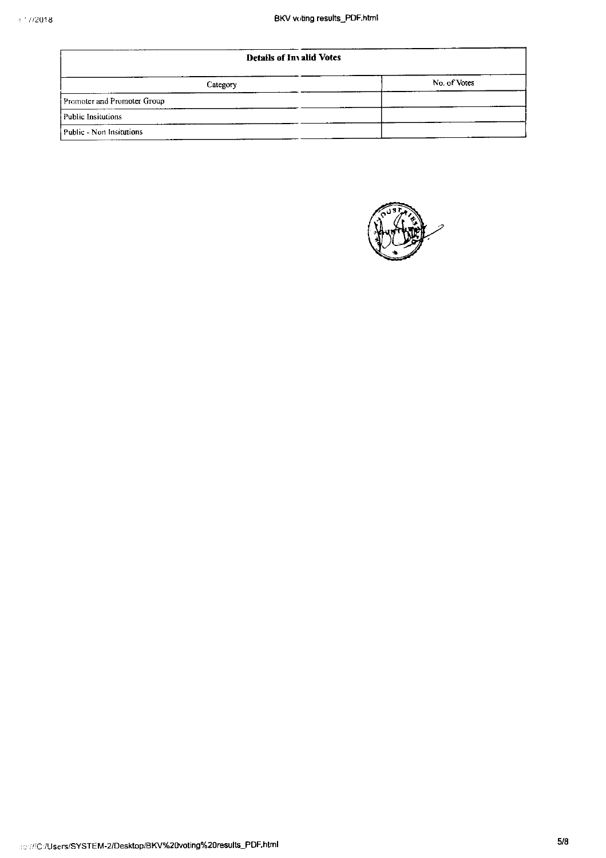| <b>Details of Invalid Votes</b> |              |  |  |  |
|---------------------------------|--------------|--|--|--|
| Category                        | No. of Votes |  |  |  |
| Promoter and Promoter Group     |              |  |  |  |
| Public Insitutions              |              |  |  |  |
| Public - Non Insitutions        |              |  |  |  |

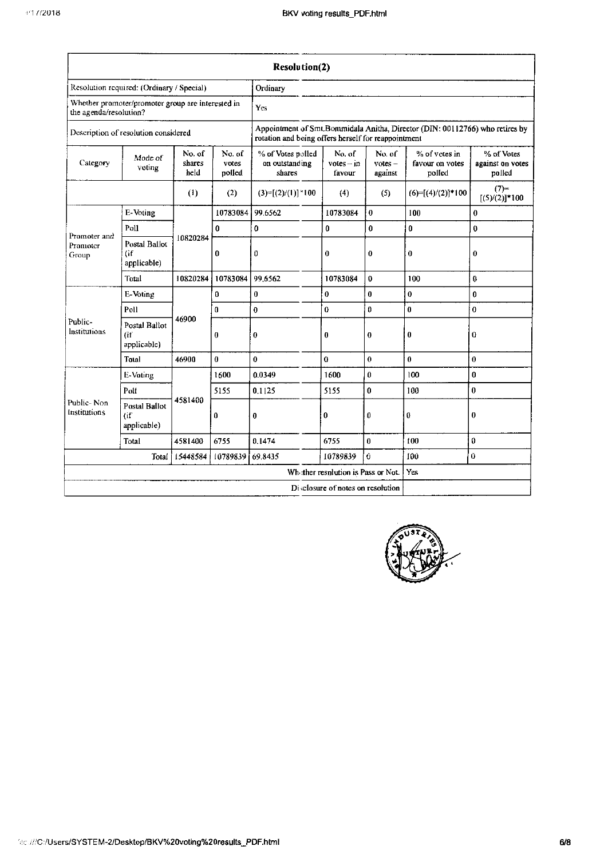|                                                                             |                                            |                          |                          | <b>Resolution(2)</b>                                |                                    |                                |                                                                              |                                          |
|-----------------------------------------------------------------------------|--------------------------------------------|--------------------------|--------------------------|-----------------------------------------------------|------------------------------------|--------------------------------|------------------------------------------------------------------------------|------------------------------------------|
| Resolution required: (Ordinary / Special)                                   |                                            |                          |                          | Ordinary                                            |                                    |                                |                                                                              |                                          |
| Whether promoter/promoter group are interested in<br>the agenda/resolution? |                                            |                          |                          | Yes                                                 |                                    |                                |                                                                              |                                          |
| Description of resolution considered                                        |                                            |                          |                          | rotation and being offers herself for reappointment |                                    |                                | Appointment of Smt.Bommidala Anitha, Director (DIN: 00112766) who retires by |                                          |
| Category                                                                    | Mode of<br>voting                          | No. of<br>shares<br>held | No.of<br>votes<br>polled | % of Votes polled<br>on outstanding<br>shares       | No. of<br>$votes - in$<br>favour   | No. of<br>$votes -$<br>against | % of votes in<br>favour on votes<br>polled                                   | % of Votes<br>against on votes<br>polled |
|                                                                             |                                            | (1)                      | (2)                      | $(3)=[(2)/(1)]$ * 100                               | (4)                                | (5)                            | $(6)=[(4)/(2)]*100$                                                          | $(7)$ =<br>$[(5)/(2)]*100$               |
|                                                                             | E-Voting                                   |                          | 10783084                 | 99.6562                                             | 10783084                           | 0                              | 100                                                                          | $\bf{0}$                                 |
|                                                                             | Poll                                       |                          | $\bf{0}$                 | $\bf{0}$                                            | $\mathbf 0$                        | $\mathbf{0}$                   | $\bf{0}$                                                                     | $\bf{0}$                                 |
| Promoter and<br>Promoter<br>Group                                           | <b>Postal Ballot</b><br>(if<br>applicable) | 10820284                 | 0                        | 0                                                   | $\bf{0}$                           | 0                              | $\bf{0}$                                                                     | $\bf{0}$                                 |
|                                                                             | Total                                      | 10820284                 | 10783084                 | 99.6562                                             | 10783084                           | 0                              | 100                                                                          | $\bf{0}$                                 |
|                                                                             | E-Voting                                   |                          | 0                        | $\bf{0}$                                            | $\bf{0}$                           | 0                              | $\bf{0}$                                                                     | 0                                        |
|                                                                             | Poll                                       |                          | 0                        | 0                                                   | 0                                  | 0                              | $\bf{0}$                                                                     | $\bf{0}$                                 |
| Public-<br>Institutions                                                     | Postal Ballot<br>lif.<br>applicable)       | 46900                    | 0                        | $\bf{0}$                                            | $\bf{0}$                           | 0                              | $\bf{0}$                                                                     | 0                                        |
|                                                                             | Total                                      | 46900                    | $\overline{0}$           | $\bf{0}$                                            | $\bf{0}$                           | 0                              | $\theta$                                                                     | $\bf{0}$                                 |
|                                                                             | <b>E-Voting</b>                            |                          | 1600                     | 0.0349                                              | 1600                               | O                              | 100                                                                          | 0                                        |
|                                                                             | Polf                                       |                          | 5155                     | 0.1125                                              | 5155                               | $\mathbf 0$                    | 100                                                                          | $\bf{0}$                                 |
| Public-Non<br>Institutions                                                  | Postal Ballot<br>tif<br>applicable)        | 4581400                  | 0                        | $\bf{0}$                                            | 0                                  | 0                              | 0                                                                            | $\bf{0}$                                 |
|                                                                             | Total                                      | 4581400                  | 6755                     | 0.1474                                              | 6755                               | $\bf{0}$                       | t <sub>00</sub>                                                              | 0                                        |
|                                                                             | Total                                      | 15448584                 | 10789839                 | 69 8435                                             | 10789839                           | Û                              | 100                                                                          | 0.                                       |
|                                                                             |                                            |                          |                          |                                                     | Whather resulution is Pass or Not. |                                | Yes                                                                          |                                          |
|                                                                             |                                            |                          |                          |                                                     | Disclosure of notes on resolution  |                                |                                                                              |                                          |

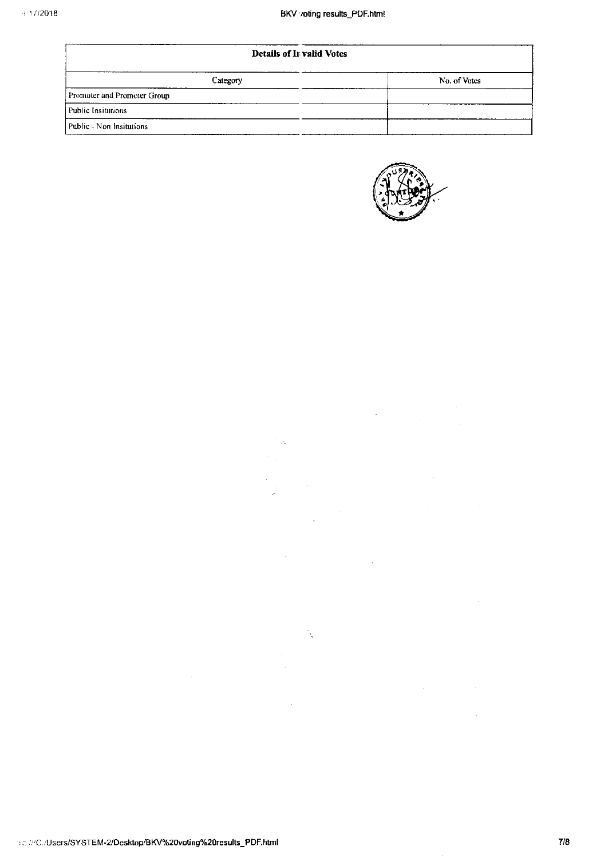| <b>Details of Invalid Votes</b> |              |  |  |  |
|---------------------------------|--------------|--|--|--|
| Category                        | No. of Votes |  |  |  |
| Promoter and Promoter Group     |              |  |  |  |
| Public Insitutions              |              |  |  |  |
| Public - Non Insitutions        |              |  |  |  |

 $\mathcal{O}(\log n)$  $\sigma_{\rm{max}}$  and

 $\mathcal{L}_{\mathcal{A}}$ 

 $\frac{1}{\sqrt{2}}$ 

 $\label{eq:2.1} \begin{split} \frac{1}{2} \sum_{i=1}^n \frac{1}{2} \sum_{j=1}^n \frac{1}{2} \sum_{j=1}^n \frac{1}{2} \sum_{j=1}^n \frac{1}{2} \sum_{j=1}^n \frac{1}{2} \sum_{j=1}^n \frac{1}{2} \sum_{j=1}^n \frac{1}{2} \sum_{j=1}^n \frac{1}{2} \sum_{j=1}^n \frac{1}{2} \sum_{j=1}^n \frac{1}{2} \sum_{j=1}^n \frac{1}{2} \sum_{j=1}^n \frac{1}{2} \sum_{j=1}$ 

 $\sim 10^{-11}$ 



 $\label{eq:2.1} \frac{1}{\sqrt{2\pi}}\int_{0}^{\infty}\frac{1}{\sqrt{2\pi}}\left(\frac{1}{\sqrt{2\pi}}\right)^{2\alpha} \frac{1}{\sqrt{2\pi}}\frac{1}{\sqrt{2\pi}}\frac{1}{\sqrt{2\pi}}\frac{1}{\sqrt{2\pi}}\frac{1}{\sqrt{2\pi}}\frac{1}{\sqrt{2\pi}}\frac{1}{\sqrt{2\pi}}\frac{1}{\sqrt{2\pi}}\frac{1}{\sqrt{2\pi}}\frac{1}{\sqrt{2\pi}}\frac{1}{\sqrt{2\pi}}\frac{1}{\sqrt{2\pi}}\frac{1}{\sqrt{2\pi}}$ 

 $\mathcal{A}^{\mathcal{A}}$ 

 $\sim 10^7$ 

 $\label{eq:2.1} \frac{1}{\sqrt{2\pi}}\int_{\mathbb{R}^3}\frac{1}{\sqrt{2\pi}}\int_{\mathbb{R}^3}\frac{1}{\sqrt{2\pi}}\int_{\mathbb{R}^3}\frac{1}{\sqrt{2\pi}}\int_{\mathbb{R}^3}\frac{1}{\sqrt{2\pi}}\int_{\mathbb{R}^3}\frac{1}{\sqrt{2\pi}}\frac{1}{\sqrt{2\pi}}\frac{1}{\sqrt{2\pi}}\frac{1}{\sqrt{2\pi}}\frac{1}{\sqrt{2\pi}}\frac{1}{\sqrt{2\pi}}\frac{1}{\sqrt{2\pi}}\frac{1}{\sqrt{2\pi}}$ 

htc.://C:/Users/SYSTEM-2/Desktop/BKV%20voting%20results\_PDF.html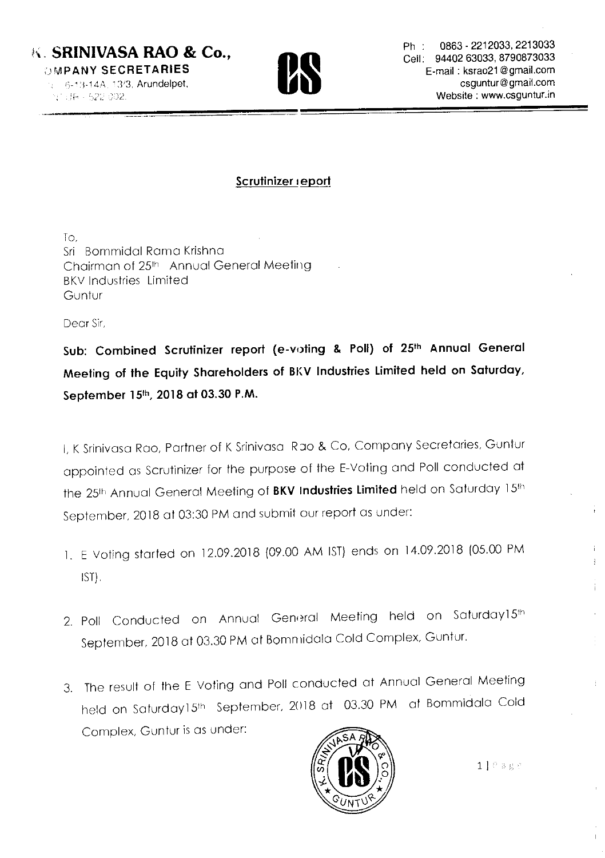# **UMPANY SECRETARIES**



MPANY SECHETAHIES<br>
6-13-14A, 13/3, Arundelpet, Camping Computer of Computer of Camping Computer of Camping Computer of Camping C<br>Camping Computer of Camping Computer of Camping Computer of Camping Computer of Camping Compu **PANY SECRETARIES**<br>
6-13-14A, 13/3, Arundelpet,<br>
(F-1522 002.<br> **E-mail : ksrao21@gmail.com**<br> **CE-mail : ksrao21@gmail.com**<br> **CE-mail : ksrao21@gmail.com**<br> **CE-mail : ksrao21@gmail.com**<br> **CE-mail : ksrao21@gmail.com** in : 0863 - 2212033, 2213033<br>Cell: 94402 63033, 8790873033 Cell: 94402 63033, 8790873033

#### Scrutinizer report

To, Sri Bommidal Rama Krishna Chairman of 25<sup>th</sup> Annual General Meeting BKV Industries Limited Guntur

Dear Sir,

Sub: Combined Scrutinizer report (e-voting & Poll) of 25\*h Annual General Meeting of the Equity Shareholders of BKV Industries Limited held on Saturday, September 15th, 2018 at 03.30 P.M.

I, <sup>K</sup> Srinivasa Rao, Partner of <sup>K</sup> Srinivasa Rao & Co, Company Secretaries, Guntur appointed as Scrutinizer for the purpose of the E-Voting and Poll conducted at the 25<sup>th</sup> Annual General Meeting of BKV Industries Limited held on Saturday 15<sup>th</sup> September, <sup>2018</sup> at 03:30 PM and submit Our report as under:

- 1. <sup>E</sup> Voting started on l2.09.20l8 (09.00 AM IST) ends on l4.09.20l8 (05.00 PM IST).
- 2. Poll Conducted on Annual General Meeting held on Saturday15th September, 20l8 at 03.30 PM at Bommidala Cold Complex, Guntur.
- 3. The result of the <sup>E</sup> Voting and Poll conducted at Annual General Meeting held on Saturday15<sup>th</sup> September, 2018 at 03.30 PM at Bommidala Cold Complex, Guntur is as under:



÷

Ť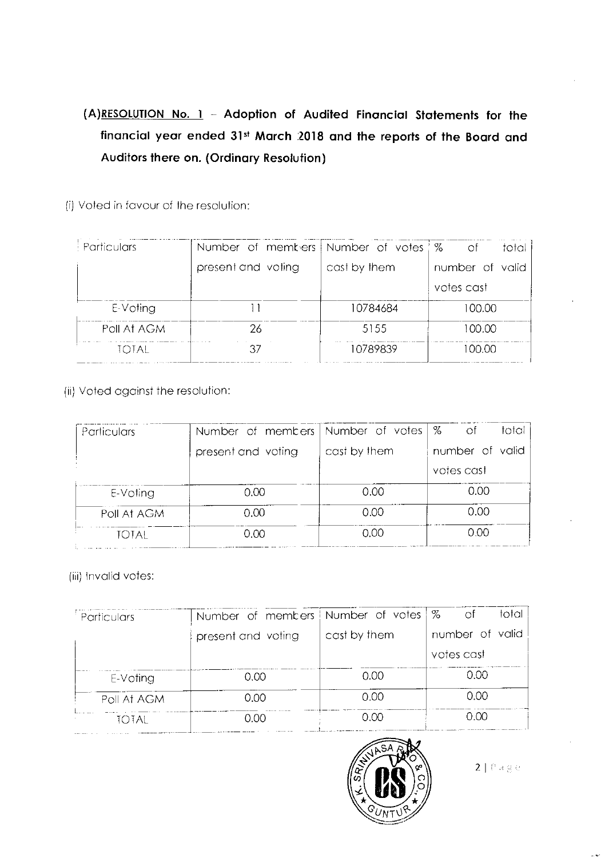### (A)<u>RESOLUTION No. 1</u> – Adoption of Audited Financial Statements for the financial year ended 31" March .2018 and the reports of the Board and Auditors there on. (Ordinary Resolution)

(i) Voted in favour of the resolution:

| $\pm$ Particulars | Number of members Number of votes % |              | – of<br>total   |
|-------------------|-------------------------------------|--------------|-----------------|
|                   | present and voting                  | cast by them | number of valid |
|                   |                                     |              | votes cast      |
| E-Voting          |                                     | 10784684     | 100.00          |
| Poll At AGM       | 26                                  | 5155         | 100.00          |
| TOTAL             |                                     | 10789839     | 100.OO          |

(ii) Voted against the resolution:

| Particulars | Number of members   Number of votes   % |              | total<br>Οf     |
|-------------|-----------------------------------------|--------------|-----------------|
|             | present and voting                      | cast by them | number of valid |
|             |                                         |              | votes cast      |
| E-Voting    | 0.00                                    | 0.00         | 0.00            |
| Poll At AGM | 0.00                                    | 0.00         | 0.00            |
| total       | 0.00                                    | 0.00         | 0.00            |

(iii) invalid votes:

| Particulars | Number of members   Number of votes   % |              | total I<br>-of  |
|-------------|-----------------------------------------|--------------|-----------------|
|             | present and voting                      | cast by them | number of valid |
|             |                                         |              | votes cast      |
| E-Voting    | 0.00                                    | 0.00         | 0.OO            |
| Poll At AGM | 0.00                                    | 0.00         | 0.00            |
| totae       | 0.00                                    | 0.00         | റ ററ            |



 $2 | P \land g \in$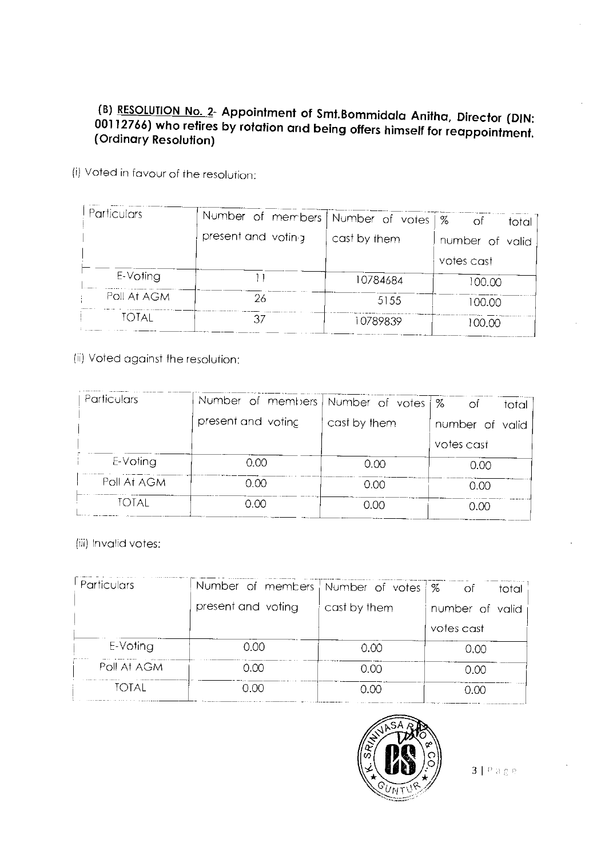#### (B) RESOLUTION No. 2- Appointment of Smt.Bommidala Anitha, Director (DIN: 00112766) who retires by rotation and being offers himself for reappointment. (Ordinary Resolution)

(i) Voted in favour of the resolution:

| Particulars | Number of members   Number of votes   % |              | -of             |
|-------------|-----------------------------------------|--------------|-----------------|
|             | present and voting                      |              | total           |
|             |                                         | cast by them | number of valid |
|             |                                         |              | votes cast      |
| E-Voting    |                                         | 10784684     | 100.00          |
| Poll At AGM | 26                                      | 5155         | 100.00          |
| total       |                                         | 10789839     | 100.00          |

(ii) Voted against the resolution:

| Particulars | Number of members   Number of votes $\frac{1}{8}$ |              | ОĒ<br>total     |
|-------------|---------------------------------------------------|--------------|-----------------|
|             | present and voting                                | cast by them | number of valid |
|             |                                                   |              | votes cast      |
| E-Voting    | 0.00                                              | 0.00         | 0.00            |
| Poll At AGM | 0.00                                              | 0.00         | 0.00            |
| TOTAL       | 0.00                                              | റ.ററ         | 0.00            |

(iii) Invalid votes:

| Particulars | Number of members   Number of votes   % of |              | total i         |
|-------------|--------------------------------------------|--------------|-----------------|
|             | present and voting                         | cast by them | number of valid |
|             |                                            |              | votes cast      |
| E-Voting    | 0.00                                       | 0.00         | 0.00            |
| Poll At AGM | 0.00                                       | 0.00         | 0.00            |
| total       | 0.00                                       | റ ററ         | 0.OO            |